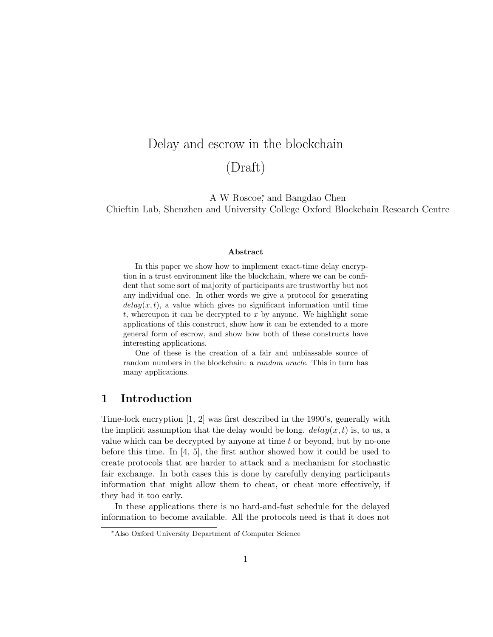# Delay and escrow in the blockchain (Draft)

A W Roscoe<sup>\*</sup>, and Bangdao Chen

Chieftin Lab, Shenzhen and University College Oxford Blockchain Research Centre

#### Abstract

In this paper we show how to implement exact-time delay encryption in a trust environment like the blockchain, where we can be confident that some sort of majority of participants are trustworthy but not any individual one. In other words we give a protocol for generating  $delay(x, t)$ , a value which gives no significant information until time  $t$ , whereupon it can be decrypted to  $x$  by anyone. We highlight some applications of this construct, show how it can be extended to a more general form of escrow, and show how both of these constructs have interesting applications.

One of these is the creation of a fair and unbiassable source of random numbers in the blockchain: a *random oracle*. This in turn has many applications.

#### 1 Introduction

Time-lock encryption [1, 2] was first described in the 1990's, generally with the implicit assumption that the delay would be long.  $delay(x, t)$  is, to us, a value which can be decrypted by anyone at time  $t$  or beyond, but by no-one before this time. In  $[4, 5]$ , the first author showed how it could be used to create protocols that are harder to attack and a mechanism for stochastic fair exchange. In both cases this is done by carefully denying participants information that might allow them to cheat, or cheat more effectively, if they had it too early.

In these applications there is no hard-and-fast schedule for the delayed information to become available. All the protocols need is that it does not

<sup>∗</sup>Also Oxford University Department of Computer Science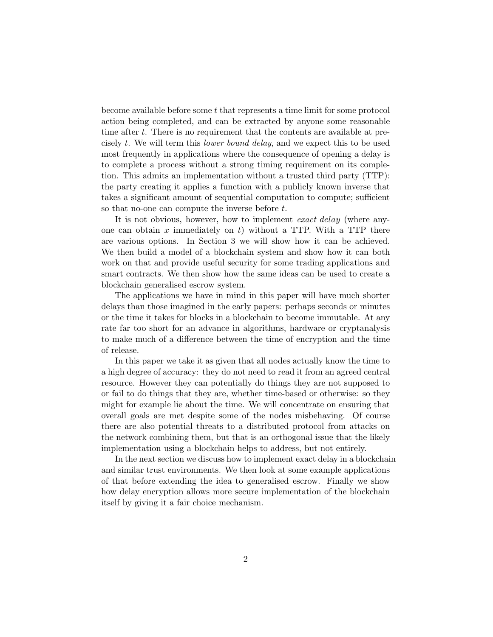become available before some  $t$  that represents a time limit for some protocol action being completed, and can be extracted by anyone some reasonable time after t. There is no requirement that the contents are available at precisely t. We will term this lower bound delay, and we expect this to be used most frequently in applications where the consequence of opening a delay is to complete a process without a strong timing requirement on its completion. This admits an implementation without a trusted third party (TTP): the party creating it applies a function with a publicly known inverse that takes a significant amount of sequential computation to compute; sufficient so that no-one can compute the inverse before t.

It is not obvious, however, how to implement exact delay (where anyone can obtain  $x$  immediately on  $t$ ) without a TTP. With a TTP there are various options. In Section 3 we will show how it can be achieved. We then build a model of a blockchain system and show how it can both work on that and provide useful security for some trading applications and smart contracts. We then show how the same ideas can be used to create a blockchain generalised escrow system.

The applications we have in mind in this paper will have much shorter delays than those imagined in the early papers: perhaps seconds or minutes or the time it takes for blocks in a blockchain to become immutable. At any rate far too short for an advance in algorithms, hardware or cryptanalysis to make much of a difference between the time of encryption and the time of release.

In this paper we take it as given that all nodes actually know the time to a high degree of accuracy: they do not need to read it from an agreed central resource. However they can potentially do things they are not supposed to or fail to do things that they are, whether time-based or otherwise: so they might for example lie about the time. We will concentrate on ensuring that overall goals are met despite some of the nodes misbehaving. Of course there are also potential threats to a distributed protocol from attacks on the network combining them, but that is an orthogonal issue that the likely implementation using a blockchain helps to address, but not entirely.

In the next section we discuss how to implement exact delay in a blockchain and similar trust environments. We then look at some example applications of that before extending the idea to generalised escrow. Finally we show how delay encryption allows more secure implementation of the blockchain itself by giving it a fair choice mechanism.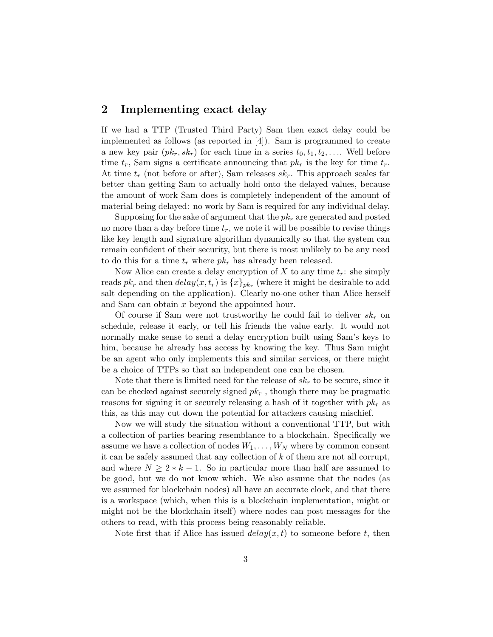#### 2 Implementing exact delay

If we had a TTP (Trusted Third Party) Sam then exact delay could be implemented as follows (as reported in [4]). Sam is programmed to create a new key pair  $(pk_r, sk_r)$  for each time in a series  $t_0, t_1, t_2, \ldots$  Well before time  $t_r$ , Sam signs a certificate announcing that  $pk_r$  is the key for time  $t_r$ . At time  $t_r$  (not before or after), Sam releases  $sk_r$ . This approach scales far better than getting Sam to actually hold onto the delayed values, because the amount of work Sam does is completely independent of the amount of material being delayed: no work by Sam is required for any individual delay.

Supposing for the sake of argument that the  $pk<sub>r</sub>$  are generated and posted no more than a day before time  $t_r$ , we note it will be possible to revise things like key length and signature algorithm dynamically so that the system can remain confident of their security, but there is most unlikely to be any need to do this for a time  $t_r$  where  $pk_r$  has already been released.

Now Alice can create a delay encryption of X to any time  $t_r$ : she simply reads  $pk_r$  and then  $delay(x, t_r)$  is  $\{x\}_{pk_r}$  (where it might be desirable to add salt depending on the application). Clearly no-one other than Alice herself and Sam can obtain x beyond the appointed hour.

Of course if Sam were not trustworthy he could fail to deliver  $sk_r$  on schedule, release it early, or tell his friends the value early. It would not normally make sense to send a delay encryption built using Sam's keys to him, because he already has access by knowing the key. Thus Sam might be an agent who only implements this and similar services, or there might be a choice of TTPs so that an independent one can be chosen.

Note that there is limited need for the release of  $sk_r$  to be secure, since it can be checked against securely signed  $pk<sub>r</sub>$ , though there may be pragmatic reasons for signing it or securely releasing a hash of it together with  $pk<sub>r</sub>$  as this, as this may cut down the potential for attackers causing mischief.

Now we will study the situation without a conventional TTP, but with a collection of parties bearing resemblance to a blockchain. Specifically we assume we have a collection of nodes  $W_1, \ldots, W_N$  where by common consent it can be safely assumed that any collection of  $k$  of them are not all corrupt, and where  $N \geq 2 * k - 1$ . So in particular more than half are assumed to be good, but we do not know which. We also assume that the nodes (as we assumed for blockchain nodes) all have an accurate clock, and that there is a workspace (which, when this is a blockchain implementation, might or might not be the blockchain itself) where nodes can post messages for the others to read, with this process being reasonably reliable.

Note first that if Alice has issued  $delay(x, t)$  to someone before t, then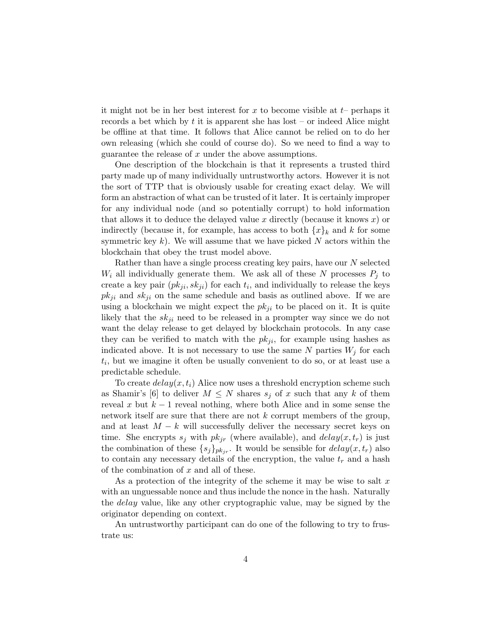it might not be in her best interest for x to become visible at  $t-$  perhaps it records a bet which by t it is apparent she has lost – or indeed Alice might be offline at that time. It follows that Alice cannot be relied on to do her own releasing (which she could of course do). So we need to find a way to guarantee the release of  $x$  under the above assumptions.

One description of the blockchain is that it represents a trusted third party made up of many individually untrustworthy actors. However it is not the sort of TTP that is obviously usable for creating exact delay. We will form an abstraction of what can be trusted of it later. It is certainly improper for any individual node (and so potentially corrupt) to hold information that allows it to deduce the delayed value x directly (because it knows  $x$ ) or indirectly (because it, for example, has access to both  $\{x\}_k$  and k for some symmetric key k). We will assume that we have picked  $N$  actors within the blockchain that obey the trust model above.

Rather than have a single process creating key pairs, have our N selected  $W_i$  all individually generate them. We ask all of these N processes  $P_j$  to create a key pair  $(pk_{ji}, sk_{ji})$  for each  $t_i$ , and individually to release the keys  $pk_{ji}$  and  $sk_{ji}$  on the same schedule and basis as outlined above. If we are using a blockchain we might expect the  $pk_{ji}$  to be placed on it. It is quite likely that the  $sk_{ji}$  need to be released in a prompter way since we do not want the delay release to get delayed by blockchain protocols. In any case they can be verified to match with the  $pk_{ji}$ , for example using hashes as indicated above. It is not necessary to use the same N parties  $W_i$  for each  $t_i$ , but we imagine it often be usually convenient to do so, or at least use a predictable schedule.

To create  $delay(x, t_i)$  Alice now uses a threshold encryption scheme such as Shamir's [6] to deliver  $M \leq N$  shares  $s_i$  of x such that any k of them reveal x but  $k-1$  reveal nothing, where both Alice and in some sense the network itself are sure that there are not  $k$  corrupt members of the group, and at least  $M - k$  will successfully deliver the necessary secret keys on time. She encrypts  $s_i$  with  $pk_{ir}$  (where available), and  $delay(x, t_r)$  is just the combination of these  $\{s_j\}_{pk_{ir}}$ . It would be sensible for  $delay(x, t_r)$  also to contain any necessary details of the encryption, the value  $t_r$  and a hash of the combination of  $x$  and all of these.

As a protection of the integrity of the scheme it may be wise to salt  $x$ with an unguessable nonce and thus include the nonce in the hash. Naturally the delay value, like any other cryptographic value, may be signed by the originator depending on context.

An untrustworthy participant can do one of the following to try to frustrate us: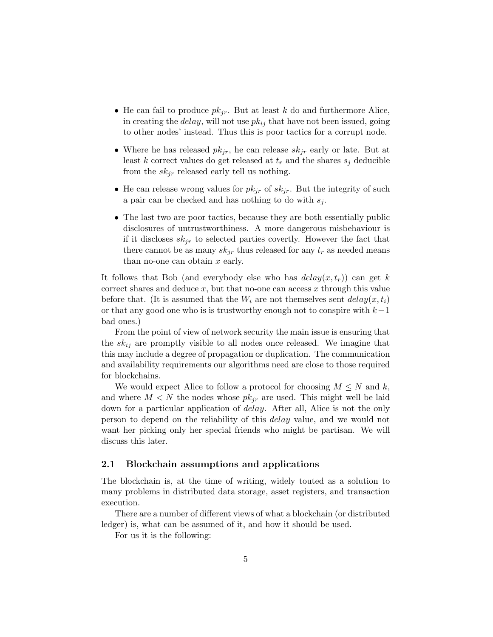- He can fail to produce  $pk_{jr}$ . But at least k do and furthermore Alice, in creating the *delay*, will not use  $pk_{ij}$  that have not been issued, going to other nodes' instead. Thus this is poor tactics for a corrupt node.
- Where he has released  $pk_{jr}$ , he can release  $sk_{jr}$  early or late. But at least k correct values do get released at  $t_r$  and the shares  $s_j$  deducible from the  $sk_{jr}$  released early tell us nothing.
- He can release wrong values for  $pk_{jr}$  of  $sk_{jr}$ . But the integrity of such a pair can be checked and has nothing to do with  $s_i$ .
- The last two are poor tactics, because they are both essentially public disclosures of untrustworthiness. A more dangerous misbehaviour is if it discloses  $sk_{ir}$  to selected parties covertly. However the fact that there cannot be as many  $sk_{jr}$  thus released for any  $t_r$  as needed means than no-one can obtain  $x$  early.

It follows that Bob (and everybody else who has  $delay(x, t_r)$ ) can get k correct shares and deduce  $x$ , but that no-one can access  $x$  through this value before that. (It is assumed that the  $W_i$  are not themselves sent  $delay(x, t_i)$ ) or that any good one who is is trustworthy enough not to conspire with  $k-1$ bad ones.)

From the point of view of network security the main issue is ensuring that the  $sk_{ij}$  are promptly visible to all nodes once released. We imagine that this may include a degree of propagation or duplication. The communication and availability requirements our algorithms need are close to those required for blockchains.

We would expect Alice to follow a protocol for choosing  $M \leq N$  and k, and where  $M < N$  the nodes whose  $pk_{jr}$  are used. This might well be laid down for a particular application of *delay*. After all, Alice is not the only person to depend on the reliability of this delay value, and we would not want her picking only her special friends who might be partisan. We will discuss this later.

#### 2.1 Blockchain assumptions and applications

The blockchain is, at the time of writing, widely touted as a solution to many problems in distributed data storage, asset registers, and transaction execution.

There are a number of different views of what a blockchain (or distributed ledger) is, what can be assumed of it, and how it should be used.

For us it is the following: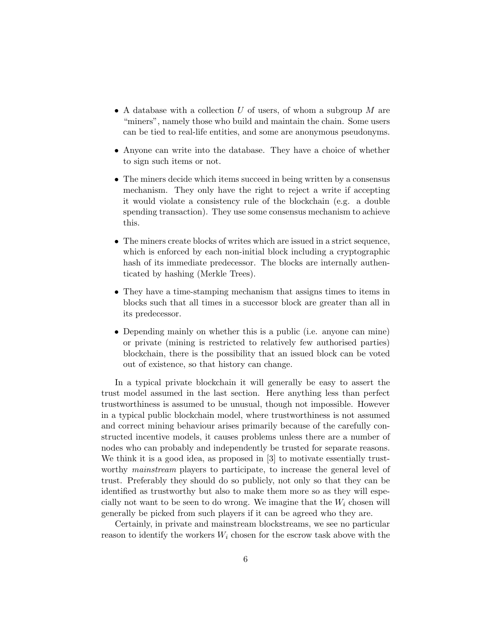- A database with a collection  $U$  of users, of whom a subgroup  $M$  are "miners", namely those who build and maintain the chain. Some users can be tied to real-life entities, and some are anonymous pseudonyms.
- Anyone can write into the database. They have a choice of whether to sign such items or not.
- The miners decide which items succeed in being written by a consensus mechanism. They only have the right to reject a write if accepting it would violate a consistency rule of the blockchain (e.g. a double spending transaction). They use some consensus mechanism to achieve this.
- The miners create blocks of writes which are issued in a strict sequence, which is enforced by each non-initial block including a cryptographic hash of its immediate predecessor. The blocks are internally authenticated by hashing (Merkle Trees).
- They have a time-stamping mechanism that assigns times to items in blocks such that all times in a successor block are greater than all in its predecessor.
- Depending mainly on whether this is a public (i.e. anyone can mine) or private (mining is restricted to relatively few authorised parties) blockchain, there is the possibility that an issued block can be voted out of existence, so that history can change.

In a typical private blockchain it will generally be easy to assert the trust model assumed in the last section. Here anything less than perfect trustworthiness is assumed to be unusual, though not impossible. However in a typical public blockchain model, where trustworthiness is not assumed and correct mining behaviour arises primarily because of the carefully constructed incentive models, it causes problems unless there are a number of nodes who can probably and independently be trusted for separate reasons. We think it is a good idea, as proposed in [3] to motivate essentially trustworthy *mainstream* players to participate, to increase the general level of trust. Preferably they should do so publicly, not only so that they can be identified as trustworthy but also to make them more so as they will especially not want to be seen to do wrong. We imagine that the  $W_i$  chosen will generally be picked from such players if it can be agreed who they are.

Certainly, in private and mainstream blockstreams, we see no particular reason to identify the workers  $W_i$  chosen for the escrow task above with the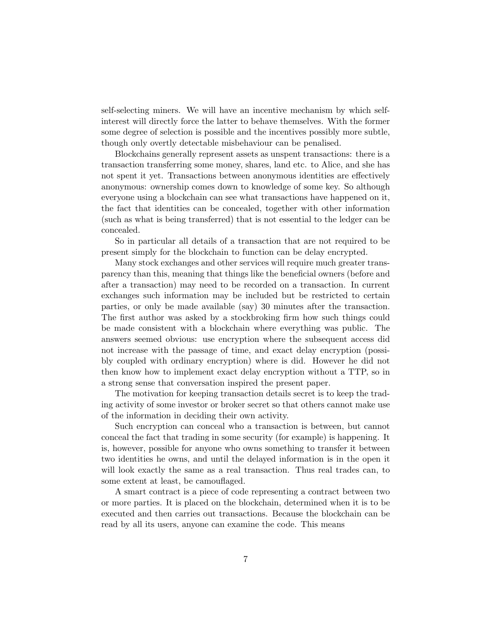self-selecting miners. We will have an incentive mechanism by which selfinterest will directly force the latter to behave themselves. With the former some degree of selection is possible and the incentives possibly more subtle, though only overtly detectable misbehaviour can be penalised.

Blockchains generally represent assets as unspent transactions: there is a transaction transferring some money, shares, land etc. to Alice, and she has not spent it yet. Transactions between anonymous identities are effectively anonymous: ownership comes down to knowledge of some key. So although everyone using a blockchain can see what transactions have happened on it, the fact that identities can be concealed, together with other information (such as what is being transferred) that is not essential to the ledger can be concealed.

So in particular all details of a transaction that are not required to be present simply for the blockchain to function can be delay encrypted.

Many stock exchanges and other services will require much greater transparency than this, meaning that things like the beneficial owners (before and after a transaction) may need to be recorded on a transaction. In current exchanges such information may be included but be restricted to certain parties, or only be made available (say) 30 minutes after the transaction. The first author was asked by a stockbroking firm how such things could be made consistent with a blockchain where everything was public. The answers seemed obvious: use encryption where the subsequent access did not increase with the passage of time, and exact delay encryption (possibly coupled with ordinary encryption) where is did. However he did not then know how to implement exact delay encryption without a TTP, so in a strong sense that conversation inspired the present paper.

The motivation for keeping transaction details secret is to keep the trading activity of some investor or broker secret so that others cannot make use of the information in deciding their own activity.

Such encryption can conceal who a transaction is between, but cannot conceal the fact that trading in some security (for example) is happening. It is, however, possible for anyone who owns something to transfer it between two identities he owns, and until the delayed information is in the open it will look exactly the same as a real transaction. Thus real trades can, to some extent at least, be camouflaged.

A smart contract is a piece of code representing a contract between two or more parties. It is placed on the blockchain, determined when it is to be executed and then carries out transactions. Because the blockchain can be read by all its users, anyone can examine the code. This means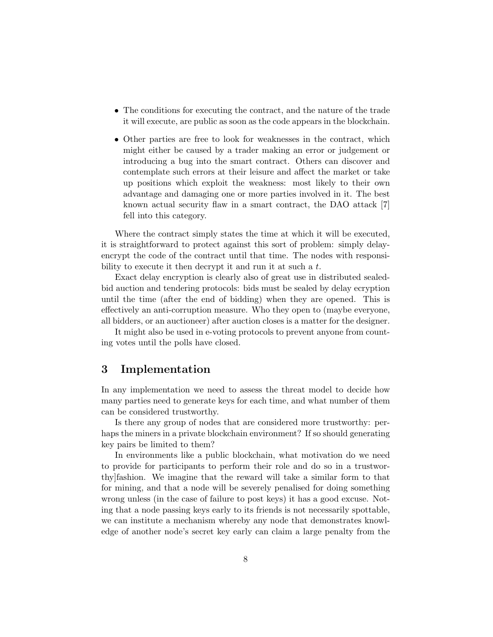- The conditions for executing the contract, and the nature of the trade it will execute, are public as soon as the code appears in the blockchain.
- Other parties are free to look for weaknesses in the contract, which might either be caused by a trader making an error or judgement or introducing a bug into the smart contract. Others can discover and contemplate such errors at their leisure and affect the market or take up positions which exploit the weakness: most likely to their own advantage and damaging one or more parties involved in it. The best known actual security flaw in a smart contract, the DAO attack [7] fell into this category.

Where the contract simply states the time at which it will be executed, it is straightforward to protect against this sort of problem: simply delayencrypt the code of the contract until that time. The nodes with responsibility to execute it then decrypt it and run it at such a t.

Exact delay encryption is clearly also of great use in distributed sealedbid auction and tendering protocols: bids must be sealed by delay ecryption until the time (after the end of bidding) when they are opened. This is effectively an anti-corruption measure. Who they open to (maybe everyone, all bidders, or an auctioneer) after auction closes is a matter for the designer.

It might also be used in e-voting protocols to prevent anyone from counting votes until the polls have closed.

## 3 Implementation

In any implementation we need to assess the threat model to decide how many parties need to generate keys for each time, and what number of them can be considered trustworthy.

Is there any group of nodes that are considered more trustworthy: perhaps the miners in a private blockchain environment? If so should generating key pairs be limited to them?

In environments like a public blockchain, what motivation do we need to provide for participants to perform their role and do so in a trustworthy]fashion. We imagine that the reward will take a similar form to that for mining, and that a node will be severely penalised for doing something wrong unless (in the case of failure to post keys) it has a good excuse. Noting that a node passing keys early to its friends is not necessarily spottable, we can institute a mechanism whereby any node that demonstrates knowledge of another node's secret key early can claim a large penalty from the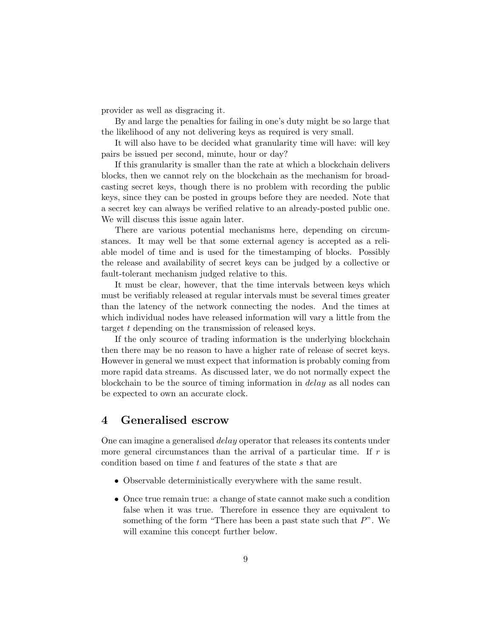provider as well as disgracing it.

By and large the penalties for failing in one's duty might be so large that the likelihood of any not delivering keys as required is very small.

It will also have to be decided what granularity time will have: will key pairs be issued per second, minute, hour or day?

If this granularity is smaller than the rate at which a blockchain delivers blocks, then we cannot rely on the blockchain as the mechanism for broadcasting secret keys, though there is no problem with recording the public keys, since they can be posted in groups before they are needed. Note that a secret key can always be verified relative to an already-posted public one. We will discuss this issue again later.

There are various potential mechanisms here, depending on circumstances. It may well be that some external agency is accepted as a reliable model of time and is used for the timestamping of blocks. Possibly the release and availability of secret keys can be judged by a collective or fault-tolerant mechanism judged relative to this.

It must be clear, however, that the time intervals between keys which must be verifiably released at regular intervals must be several times greater than the latency of the network connecting the nodes. And the times at which individual nodes have released information will vary a little from the target t depending on the transmission of released keys.

If the only scource of trading information is the underlying blockchain then there may be no reason to have a higher rate of release of secret keys. However in general we must expect that information is probably coming from more rapid data streams. As discussed later, we do not normally expect the blockchain to be the source of timing information in delay as all nodes can be expected to own an accurate clock.

#### 4 Generalised escrow

One can imagine a generalised delay operator that releases its contents under more general circumstances than the arrival of a particular time. If  $r$  is condition based on time t and features of the state s that are

- Observable deterministically everywhere with the same result.
- Once true remain true: a change of state cannot make such a condition false when it was true. Therefore in essence they are equivalent to something of the form "There has been a past state such that  $P$ ". We will examine this concept further below.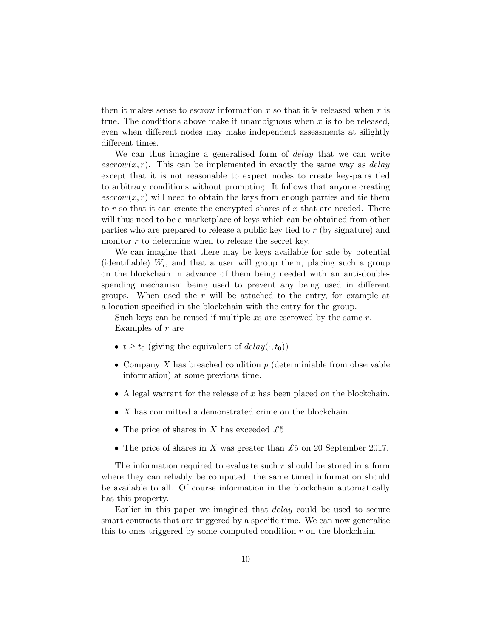then it makes sense to escrow information x so that it is released when  $r$  is true. The conditions above make it unambiguous when  $x$  is to be released, even when different nodes may make independent assessments at silightly different times.

We can thus imagine a generalised form of *delay* that we can write  $\epsilon$ *escrow* $(x, r)$ . This can be implemented in exactly the same way as *delay* except that it is not reasonable to expect nodes to create key-pairs tied to arbitrary conditions without prompting. It follows that anyone creating  $\text{escrow}(x, r)$  will need to obtain the keys from enough parties and tie them to  $r$  so that it can create the encrypted shares of  $x$  that are needed. There will thus need to be a marketplace of keys which can be obtained from other parties who are prepared to release a public key tied to r (by signature) and monitor r to determine when to release the secret key.

We can imagine that there may be keys available for sale by potential (identifiable)  $W_i$ , and that a user will group them, placing such a group on the blockchain in advance of them being needed with an anti-doublespending mechanism being used to prevent any being used in different groups. When used the  $r$  will be attached to the entry, for example at a location specified in the blockchain with the entry for the group.

Such keys can be reused if multiple  $xs$  are escrowed by the same  $r$ . Examples of  $r$  are

- $t \ge t_0$  (giving the equivalent of  $delay(\cdot, t_0)$ )
- Company X has breached condition  $p$  (determiniable from observable information) at some previous time.
- A legal warrant for the release of  $x$  has been placed on the blockchain.
- X has committed a demonstrated crime on the blockchain.
- The price of shares in X has exceeded  $\pounds 5$
- The price of shares in X was greater than £5 on 20 September 2017.

The information required to evaluate such  $r$  should be stored in a form where they can reliably be computed: the same timed information should be available to all. Of course information in the blockchain automatically has this property.

Earlier in this paper we imagined that *delay* could be used to secure smart contracts that are triggered by a specific time. We can now generalise this to ones triggered by some computed condition  $r$  on the blockchain.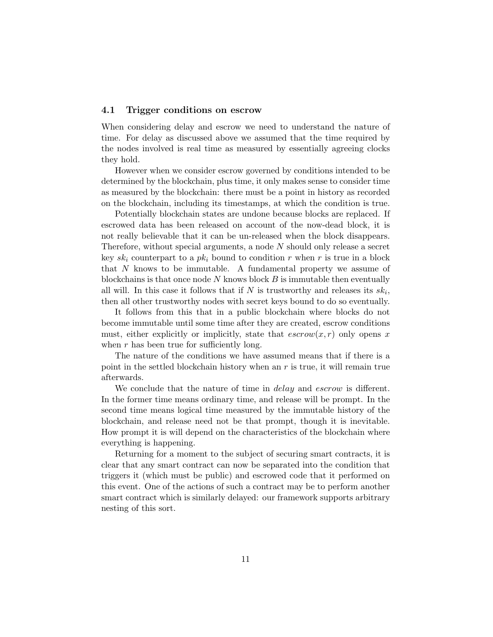#### 4.1 Trigger conditions on escrow

When considering delay and escrow we need to understand the nature of time. For delay as discussed above we assumed that the time required by the nodes involved is real time as measured by essentially agreeing clocks they hold.

However when we consider escrow governed by conditions intended to be determined by the blockchain, plus time, it only makes sense to consider time as measured by the blockchain: there must be a point in history as recorded on the blockchain, including its timestamps, at which the condition is true.

Potentially blockchain states are undone because blocks are replaced. If escrowed data has been released on account of the now-dead block, it is not really believable that it can be un-released when the block disappears. Therefore, without special arguments, a node  $N$  should only release a secret key  $sk_i$  counterpart to a  $pk_i$  bound to condition r when r is true in a block that N knows to be immutable. A fundamental property we assume of blockchains is that once node  $N$  knows block  $B$  is immutable then eventually all will. In this case it follows that if  $N$  is trustworthy and releases its  $sk_i$ , then all other trustworthy nodes with secret keys bound to do so eventually.

It follows from this that in a public blockchain where blocks do not become immutable until some time after they are created, escrow conditions must, either explicitly or implicitly, state that  $escrow(x, r)$  only opens x when  $r$  has been true for sufficiently long.

The nature of the conditions we have assumed means that if there is a point in the settled blockchain history when an  $r$  is true, it will remain true afterwards.

We conclude that the nature of time in *delay* and *escrow* is different. In the former time means ordinary time, and release will be prompt. In the second time means logical time measured by the immutable history of the blockchain, and release need not be that prompt, though it is inevitable. How prompt it is will depend on the characteristics of the blockchain where everything is happening.

Returning for a moment to the subject of securing smart contracts, it is clear that any smart contract can now be separated into the condition that triggers it (which must be public) and escrowed code that it performed on this event. One of the actions of such a contract may be to perform another smart contract which is similarly delayed: our framework supports arbitrary nesting of this sort.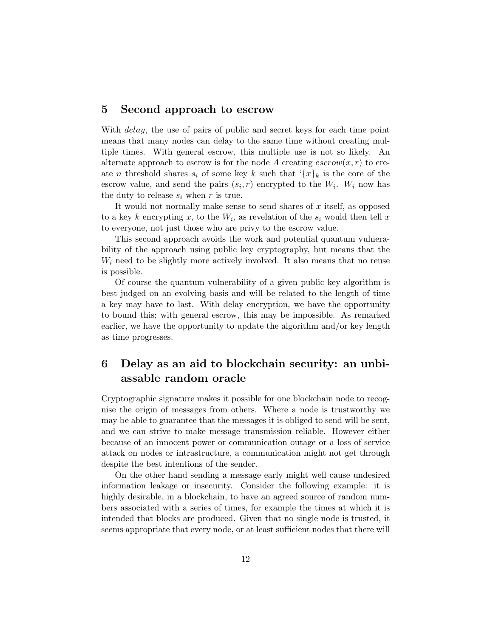#### 5 Second approach to escrow

With *delay*, the use of pairs of public and secret keys for each time point means that many nodes can delay to the same time without creating multiple times. With general escrow, this multiple use is not so likely. An alternate approach to escrow is for the node A creating  $\epsilon s$ crow $(x, r)$  to create *n* threshold shares  $s_i$  of some key k such that  $\{x\}_k$  is the core of the escrow value, and send the pairs  $(s_i, r)$  encrypted to the  $W_i$ .  $W_i$  now has the duty to release  $s_i$  when r is true.

It would not normally make sense to send shares of  $x$  itself, as opposed to a key k encrypting x, to the  $W_i$ , as revelation of the  $s_i$  would then tell x to everyone, not just those who are privy to the escrow value.

This second approach avoids the work and potential quantum vulnerability of the approach using public key cryptography, but means that the  $W_i$  need to be slightly more actively involved. It also means that no reuse is possible.

Of course the quantum vulnerability of a given public key algorithm is best judged on an evolving basis and will be related to the length of time a key may have to last. With delay encryption, we have the opportunity to bound this; with general escrow, this may be impossible. As remarked earlier, we have the opportunity to update the algorithm and/or key length as time progresses.

## 6 Delay as an aid to blockchain security: an unbiassable random oracle

Cryptographic signature makes it possible for one blockchain node to recognise the origin of messages from others. Where a node is trustworthy we may be able to guarantee that the messages it is obliged to send will be sent, and we can strive to make message transmission reliable. However either because of an innocent power or communication outage or a loss of service attack on nodes or intrastructure, a communication might not get through despite the best intentions of the sender.

On the other hand sending a message early might well cause undesired information leakage or insecurity. Consider the following example: it is highly desirable, in a blockchain, to have an agreed source of random numbers associated with a series of times, for example the times at which it is intended that blocks are produced. Given that no single node is trusted, it seems appropriate that every node, or at least sufficient nodes that there will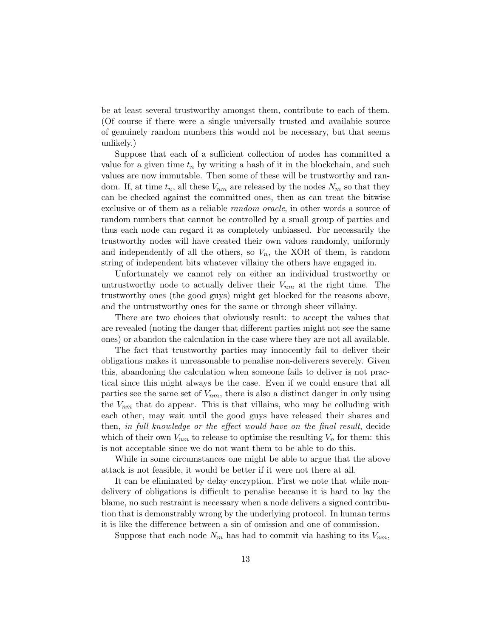be at least several trustworthy amongst them, contribute to each of them. (Of course if there were a single universally trusted and availabie source of genuinely random numbers this would not be necessary, but that seems unlikely.)

Suppose that each of a sufficient collection of nodes has committed a value for a given time  $t_n$  by writing a hash of it in the blockchain, and such values are now immutable. Then some of these will be trustworthy and random. If, at time  $t_n$ , all these  $V_{nm}$  are released by the nodes  $N_m$  so that they can be checked against the committed ones, then as can treat the bitwise exclusive or of them as a reliable *random oracle*, in other words a source of random numbers that cannot be controlled by a small group of parties and thus each node can regard it as completely unbiassed. For necessarily the trustworthy nodes will have created their own values randomly, uniformly and independently of all the others, so  $V_n$ , the XOR of them, is random string of independent bits whatever villainy the others have engaged in.

Unfortunately we cannot rely on either an individual trustworthy or untrustworthy node to actually deliver their  $V_{nm}$  at the right time. The trustworthy ones (the good guys) might get blocked for the reasons above, and the untrustworthy ones for the same or through sheer villainy.

There are two choices that obviously result: to accept the values that are revealed (noting the danger that different parties might not see the same ones) or abandon the calculation in the case where they are not all available.

The fact that trustworthy parties may innocently fail to deliver their obligations makes it unreasonable to penalise non-deliverers severely. Given this, abandoning the calculation when someone fails to deliver is not practical since this might always be the case. Even if we could ensure that all parties see the same set of  $V_{nm}$ , there is also a distinct danger in only using the  $V_{nm}$  that do appear. This is that villains, who may be colluding with each other, may wait until the good guys have released their shares and then, in full knowledge or the effect would have on the final result, decide which of their own  $V_{nm}$  to release to optimise the resulting  $V_n$  for them: this is not acceptable since we do not want them to be able to do this.

While in some circumstances one might be able to argue that the above attack is not feasible, it would be better if it were not there at all.

It can be eliminated by delay encryption. First we note that while nondelivery of obligations is difficult to penalise because it is hard to lay the blame, no such restraint is necessary when a node delivers a signed contribution that is demonstrably wrong by the underlying protocol. In human terms it is like the difference between a sin of omission and one of commission.

Suppose that each node  $N_m$  has had to commit via hashing to its  $V_{nm}$ ,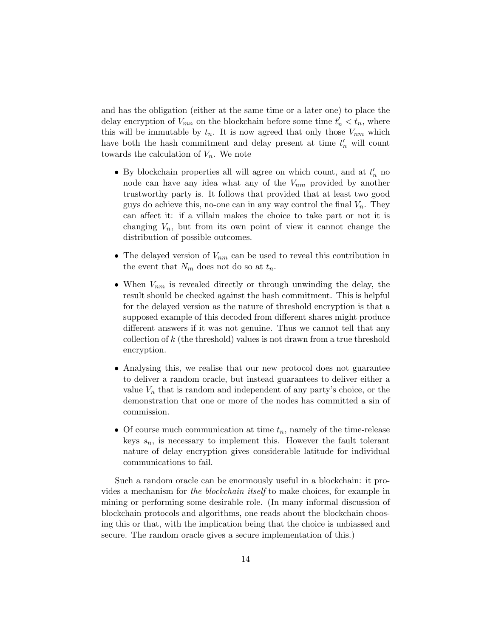and has the obligation (either at the same time or a later one) to place the delay encryption of  $V_{mn}$  on the blockchain before some time  $t'_n < t_n$ , where this will be immutable by  $t_n$ . It is now agreed that only those  $V_{nm}$  which have both the hash commitment and delay present at time  $t'_n$  will count towards the calculation of  $V_n$ . We note

- $\bullet$  By blockchain properties all will agree on which count, and at  $t_n'$  no node can have any idea what any of the  $V_{nm}$  provided by another trustworthy party is. It follows that provided that at least two good guys do achieve this, no-one can in any way control the final  $V_n$ . They can affect it: if a villain makes the choice to take part or not it is changing  $V_n$ , but from its own point of view it cannot change the distribution of possible outcomes.
- The delayed version of  $V_{nm}$  can be used to reveal this contribution in the event that  $N_m$  does not do so at  $t_n$ .
- When  $V_{nm}$  is revealed directly or through unwinding the delay, the result should be checked against the hash commitment. This is helpful for the delayed version as the nature of threshold encryption is that a supposed example of this decoded from different shares might produce different answers if it was not genuine. Thus we cannot tell that any collection of  $k$  (the threshold) values is not drawn from a true threshold encryption.
- Analysing this, we realise that our new protocol does not guarantee to deliver a random oracle, but instead guarantees to deliver either a value  $V_n$  that is random and independent of any party's choice, or the demonstration that one or more of the nodes has committed a sin of commission.
- Of course much communication at time  $t_n$ , namely of the time-release keys  $s_n$ , is necessary to implement this. However the fault tolerant nature of delay encryption gives considerable latitude for individual communications to fail.

Such a random oracle can be enormously useful in a blockchain: it provides a mechanism for the blockchain itself to make choices, for example in mining or performing some desirable role. (In many informal discussion of blockchain protocols and algorithms, one reads about the blockchain choosing this or that, with the implication being that the choice is unbiassed and secure. The random oracle gives a secure implementation of this.)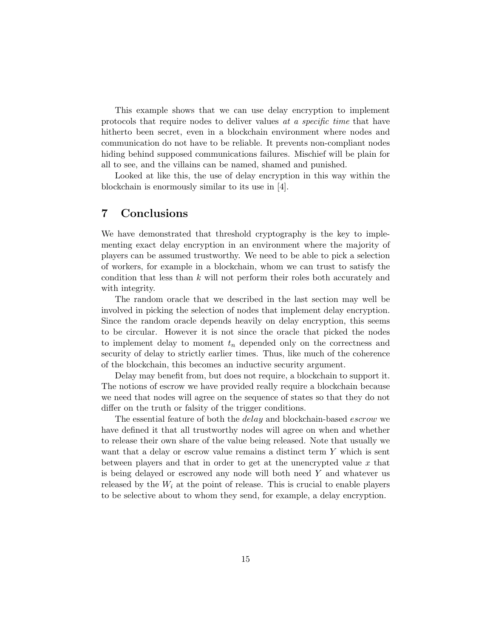This example shows that we can use delay encryption to implement protocols that require nodes to deliver values at a specific time that have hitherto been secret, even in a blockchain environment where nodes and communication do not have to be reliable. It prevents non-compliant nodes hiding behind supposed communications failures. Mischief will be plain for all to see, and the villains can be named, shamed and punished.

Looked at like this, the use of delay encryption in this way within the blockchain is enormously similar to its use in [4].

## 7 Conclusions

We have demonstrated that threshold cryptography is the key to implementing exact delay encryption in an environment where the majority of players can be assumed trustworthy. We need to be able to pick a selection of workers, for example in a blockchain, whom we can trust to satisfy the condition that less than  $k$  will not perform their roles both accurately and with integrity.

The random oracle that we described in the last section may well be involved in picking the selection of nodes that implement delay encryption. Since the random oracle depends heavily on delay encryption, this seems to be circular. However it is not since the oracle that picked the nodes to implement delay to moment  $t_n$  depended only on the correctness and security of delay to strictly earlier times. Thus, like much of the coherence of the blockchain, this becomes an inductive security argument.

Delay may benefit from, but does not require, a blockchain to support it. The notions of escrow we have provided really require a blockchain because we need that nodes will agree on the sequence of states so that they do not differ on the truth or falsity of the trigger conditions.

The essential feature of both the *delay* and blockchain-based *escrow* we have defined it that all trustworthy nodes will agree on when and whether to release their own share of the value being released. Note that usually we want that a delay or escrow value remains a distinct term Y which is sent between players and that in order to get at the unencrypted value  $x$  that is being delayed or escrowed any node will both need Y and whatever us released by the  $W_i$  at the point of release. This is crucial to enable players to be selective about to whom they send, for example, a delay encryption.